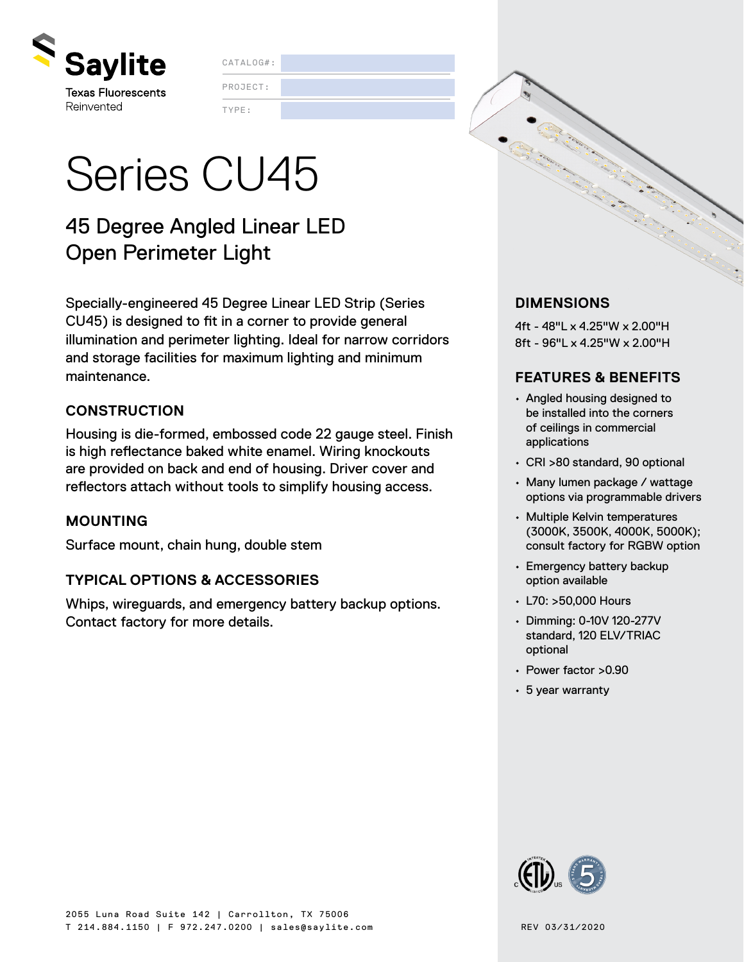

CATALOG#:

TYPE: PROJECT:

# Series CU45

### 45 Degree Angled Linear LED Open Perimeter Light

Specially-engineered 45 Degree Linear LED Strip (Series CU45) is designed to fit in a corner to provide general illumination and perimeter lighting. Ideal for narrow corridors and storage facilities for maximum lighting and minimum maintenance.

### **CONSTRUCTION**

Housing is die-formed, embossed code 22 gauge steel. Finish is high reflectance baked white enamel. Wiring knockouts are provided on back and end of housing. Driver cover and reflectors attach without tools to simplify housing access.

### **MOUNTING**

Surface mount, chain hung, double stem

### **TYPICAL OPTIONS & ACCESSORIES**

Whips, wireguards, and emergency battery backup options. Contact factory for more details.

### **DIMENSIONS**

4ft - 48"L x 4.25"W x 2.00"H 8ft - 96"L x 4.25"W x 2.00"H

### **FEATURES & BENEFITS**

- Angled housing designed to be installed into the corners of ceilings in commercial applications
- CRI >80 standard, 90 optional
- Many lumen package / wattage options via programmable drivers
- Multiple Kelvin temperatures (3000K, 3500K, 4000K, 5000K); consult factory for RGBW option
- Emergency battery backup option available
- L70: >50,000 Hours
- Dimming: 0-10V 120-277V standard, 120 ELV/TRIAC optional
- Power factor >0.90
- 5 year warranty

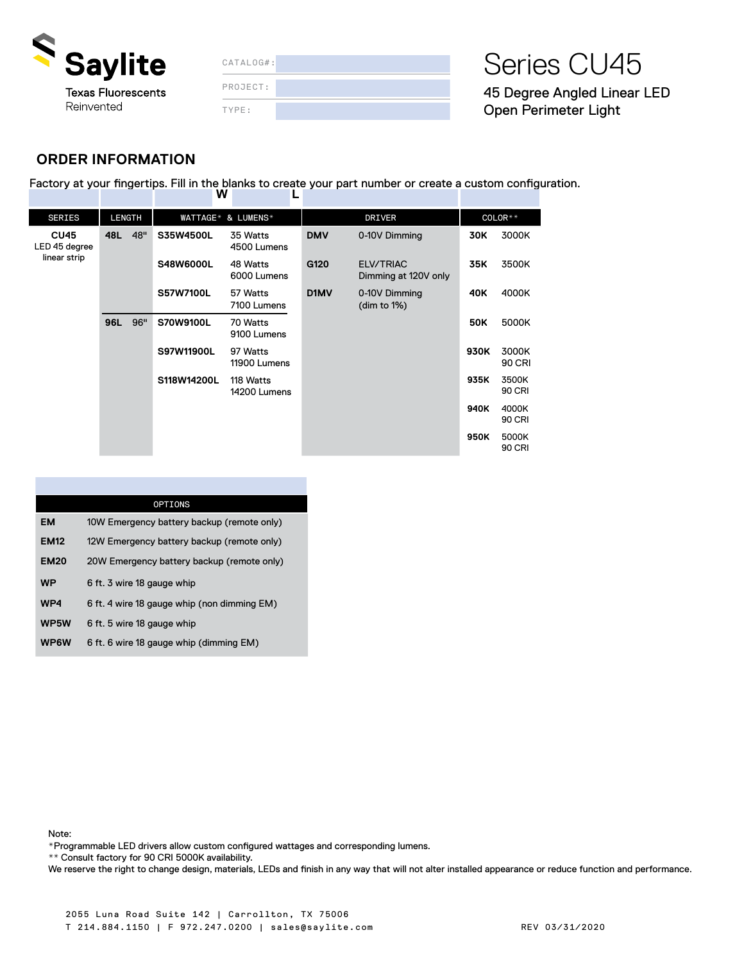

| CATALOG#: |  |
|-----------|--|
| PROJECT:  |  |
| TYPE:     |  |

## Series CU45

45 Degree Angled Linear LED Open Perimeter Light

### **ORDER INFORMATION**

Factory at your fingertips. Fill in the blanks to create your part number or create a custom configuration.<br> **W** L  **W L**

| <b>SERIES</b>                                | <b>LENGTH</b> |     | WATTAGE* & LUMENS* |                           | <b>DRIVER</b> |                                   | COLOR** |                        |
|----------------------------------------------|---------------|-----|--------------------|---------------------------|---------------|-----------------------------------|---------|------------------------|
| <b>CU45</b><br>LED 45 degree<br>linear strip | 48L           | 48" | S35W4500L          | 35 Watts<br>4500 Lumens   | <b>DMV</b>    | 0-10V Dimming                     | 30K     | 3000K                  |
|                                              |               |     | S48W6000L          | 48 Watts<br>6000 Lumens   | G120          | ELV/TRIAC<br>Dimming at 120V only | 35K     | 3500K                  |
|                                              |               |     | S57W7100L          | 57 Watts<br>7100 Lumens   | D1MV          | 0-10V Dimming<br>(dim to $1\%$ )  | 40K     | 4000K                  |
|                                              | 96L           | 96" | S70W9100L          | 70 Watts<br>9100 Lumens   |               |                                   | 50K     | 5000K                  |
|                                              |               |     | S97W11900L         | 97 Watts<br>11900 Lumens  |               |                                   | 930K    | 3000K<br><b>90 CRI</b> |
|                                              |               |     | S118W14200L        | 118 Watts<br>14200 Lumens |               |                                   | 935K    | 3500K<br><b>90 CRI</b> |
|                                              |               |     |                    |                           |               |                                   | 940K    | 4000K<br><b>90 CRI</b> |
|                                              |               |     |                    |                           |               |                                   | 950K    | 5000K<br>90 CRI        |

|             | <b>OPTIONS</b>                              |
|-------------|---------------------------------------------|
| EM          | 10W Emergency battery backup (remote only)  |
| <b>EM12</b> | 12W Emergency battery backup (remote only)  |
| <b>EM20</b> | 20W Emergency battery backup (remote only)  |
| <b>WP</b>   | 6 ft. 3 wire 18 gauge whip                  |
| WP4         | 6 ft. 4 wire 18 gauge whip (non dimming EM) |
| WP5W        | 6 ft. 5 wire 18 gauge whip                  |
| WP6W        | 6 ft. 6 wire 18 gauge whip (dimming EM)     |

Note:

\*Programmable LED drivers allow custom configured wattages and corresponding lumens.

\*\* Consult factory for 90 CRI 5000K availability.

We reserve the right to change design, materials, LEDs and finish in any way that will not alter installed appearance or reduce function and performance.